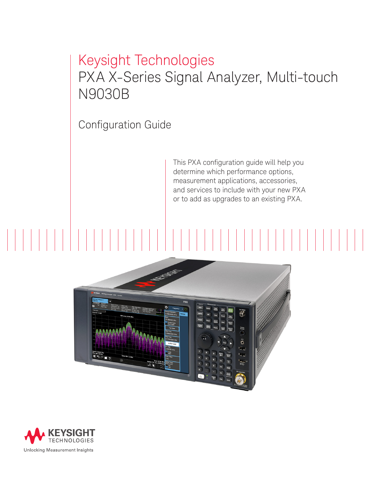# Keysight Technologies PXA X-Series Signal Analyzer, Multi-touch N9030B

Configuration Guide

This PXA configuration guide will help you determine which performance options, measurement applications, accessories, and services to include with your new PXA or to add as upgrades to an existing PXA.



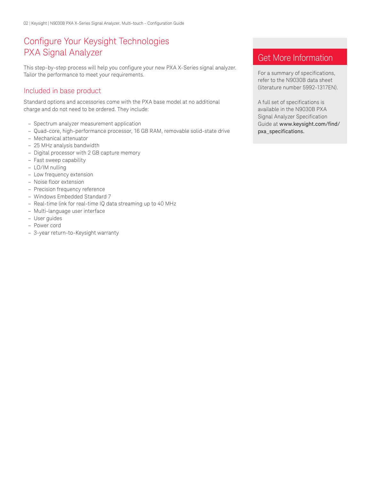# Configure Your Keysight Technologies PXA Signal Analyzer

This step-by-step process will help you configure your new PXA X-Series signal analyzer. Tailor the performance to meet your requirements.

# Included in base product

Standard options and accessories come with the PXA base model at no additional charge and do not need to be ordered. They include:

- Spectrum analyzer measurement application
- Quad-core, high-performance processor, 16 GB RAM, removable solid-state drive
- Mechanical attenuator
- 25 MHz analysis bandwidth
- Digital processor with 2 GB capture memory
- Fast sweep capability
- LO/IM nulling
- Low frequency extension
- Noise floor extension
- Precision frequency reference
- Windows Embedded Standard 7
- Real-time link for real-time IQ data streaming up to 40 MHz
- Multi-language user interface
- User guides
- Power cord
- 3-year return-to-Keysight warranty

# Get More Information

For a summary of specifications, refer to the N9030B data sheet (literature number 5992-1317EN).

A full set of specifications is available in the N9030B PXA Signal Analyzer Specification Guide at [www.keysight.com/find/](www.keysight.com/find/pxa_specifications) [pxa\\_specifications](www.keysight.com/find/pxa_specifications).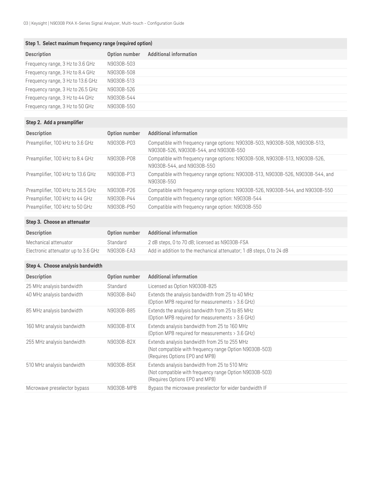### **Step 1. Select maximum frequency range (required option)**

| <b>Description</b>                | Option number | Additional information |
|-----------------------------------|---------------|------------------------|
| Frequency range, 3 Hz to 3.6 GHz  | N9030B-503    |                        |
| Frequency range, 3 Hz to 8.4 GHz  | N9030B-508    |                        |
| Frequency range, 3 Hz to 13.6 GHz | N9030B-513    |                        |
| Frequency range, 3 Hz to 26.5 GHz | N9030B-526    |                        |
| Frequency range, 3 Hz to 44 GHz   | N9030B-544    |                        |
| Frequency range, 3 Hz to 50 GHz   | N9030B-550    |                        |

# **Step 2. Add a preamplifier**

| <b>Description</b>                | Option number | <b>Additional information</b>                                                                                          |
|-----------------------------------|---------------|------------------------------------------------------------------------------------------------------------------------|
| Preamplifier, 100 kHz to 3.6 GHz  | N9030B-P03    | Compatible with frequency range options: N9030B-503, N9030B-508, N9030B-513,<br>N9030B-526, N9030B-544, and N9030B-550 |
| Preamplifier, 100 kHz to 8.4 GHz  | N9030B-P08    | Compatible with frequency range options: N9030B-508, N9030B-513, N9030B-526,<br>N9030B-544, and N9030B-550             |
| Preamplifier, 100 kHz to 13.6 GHz | N9030B-P13    | Compatible with frequency range options: N9030B-513, N9030B-526, N9030B-544, and<br>N9030B-550                         |
| Preamplifier, 100 kHz to 26.5 GHz | N9030B-P26    | Compatible with frequency range options: N9030B-526, N9030B-544, and N9030B-550                                        |
| Preamplifier, 100 kHz to 44 GHz   | N9030B-P44    | Compatible with frequency range option: N9030B-544                                                                     |
| Preamplifier, 100 kHz to 50 GHz   | N9030B-P50    | Compatible with frequency range option: N9030B-550                                                                     |

### **Step 3. Choose an attenuator**

| <b>Description</b>                             | Option number | Additional information                                               |
|------------------------------------------------|---------------|----------------------------------------------------------------------|
| Mechanical attenuator                          | Standard      | 2 dB steps, 0 to 70 dB; licensed as N9030B-FSA                       |
| Electronic attenuator up to 3.6 GHz N9030B-EA3 |               | Add in addition to the mechanical attenuator; 1 dB steps, 0 to 24 dB |

### **Step 4. Choose analysis bandwidth**

| <b>Description</b>           | Option number | <b>Additional information</b>                                                                                                              |
|------------------------------|---------------|--------------------------------------------------------------------------------------------------------------------------------------------|
| 25 MHz analysis bandwidth    | Standard      | Licensed as Option N9030B-B25                                                                                                              |
| 40 MHz analysis bandwidth    | N9030B-B40    | Extends the analysis bandwidth from 25 to 40 MHz<br>(Option MPB required for measurements > 3.6 GHz)                                       |
| 85 MHz analysis bandwidth    | N9030B-B85    | Extends the analysis bandwidth from 25 to 85 MHz<br>(Option MPB required for measurements > 3.6 GHz)                                       |
| 160 MHz analysis bandwidth   | N9030B-B1X    | Extends analysis bandwidth from 25 to 160 MHz<br>(Option MPB required for measurements > 3.6 GHz)                                          |
| 255 MHz analysis bandwidth   | N9030B-B2X    | Extends analysis bandwidth from 25 to 255 MHz<br>(Not compatible with frequency range Option N9030B-503)<br>(Requires Options EPO and MPB) |
| 510 MHz analysis bandwidth   | N9030B-B5X    | Extends analysis bandwidth from 25 to 510 MHz<br>(Not compatible with frequency range Option N9030B-503)<br>(Requires Options EPO and MPB) |
| Microwave preselector bypass | N9030B-MPB    | Bypass the microwave preselector for wider bandwidth IF                                                                                    |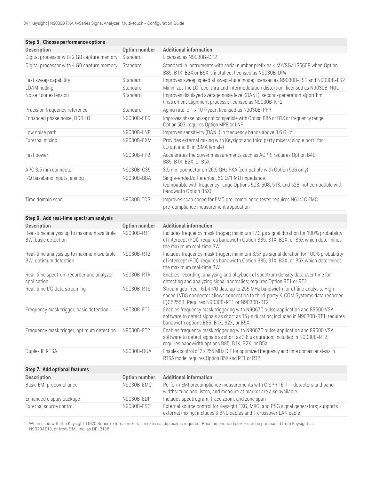| Step 5. Choose performance options                                  |               |                                                                                                                                                                                                                        |
|---------------------------------------------------------------------|---------------|------------------------------------------------------------------------------------------------------------------------------------------------------------------------------------------------------------------------|
| <b>Description</b>                                                  | Option number | <b>Additional information</b>                                                                                                                                                                                          |
| Digital processor with 2 GB capture memory                          | Standard      | Licensed as N9030B-DP2                                                                                                                                                                                                 |
| Digital processor with 4 GB capture memory                          | Standard      | Standard in instruments with serial number prefix es ≤ MY/SG/US5608 when Option<br>B85, B1X, B2X or B5X is installed. licensed as N9030B-DP4                                                                           |
| Fast sweep capability                                               | Standard      | Improves sweep speed at swept-tune mode; licensed as N9030B-FS1 and N9030B-FS2                                                                                                                                         |
| LO/IM nulling                                                       | Standard      | Minimizes the LO feed-thru and intermodulation distortion; licensed as N9030B-NUL                                                                                                                                      |
| Noise floor extension                                               | Standard      | Improves displayed average noise level (DANL), second-generation algorithm<br>(instrument alignment process); licensed as N9030B-NF2                                                                                   |
| Precision frequency reference                                       | Standard      | Aging rate: ± 1 x 10 <sup>-7</sup> /year; licensed as N9030B-PFR                                                                                                                                                       |
| Enhanced phase noise, DDS LO                                        | N9030B-EP0    | Improves phase noise; not compatible with Option B85 or B1X or frequency range<br>Option 503; requires Option MPB or LNP                                                                                               |
| Low noise path                                                      | N9030B-LNP    | Improves sensitivity (DANL) in frequency bands above 3.6 GHz                                                                                                                                                           |
| External mixing                                                     | N9030B-EXM    | Provides external mixing with Keysight and third party mixers; single port <sup>1</sup> for<br>LO out and IF in (SMA female)                                                                                           |
| Fast power                                                          | N9030B-FP2    | Accelerates the power measurements such as ACPR; requires Option B40,<br>B85, B1X, B2X, or B5X                                                                                                                         |
| APC 3.5 mm connector                                                | N9030B-C35    | 3.5 mm connector on 26.5 GHz PXA (compatible with Option 526 only)                                                                                                                                                     |
| I/Q baseband inputs, analog                                         | N9030B-BBA    | Single-ended/differential, 50 Ω/1 MΩ impedance<br>(compatible with frequency range Options 503, 508, 513, and 526; not compatible with<br>bandwidth Option B5X)                                                        |
| Time domain scan                                                    | N9030B-TDS    | Improves scan speed for EMC pre-compliance tests; requires N6141C EMC<br>pre-compliance measurement application                                                                                                        |
| Step 6. Add real-time spectrum analysis                             |               |                                                                                                                                                                                                                        |
| <b>Description</b>                                                  | Option number | <b>Additional information</b>                                                                                                                                                                                          |
| Real-time analysis up to maximum available<br>BW, basic detection   | N9030B-RT1    | Includes frequency mask trigger; minimum 17.3 µs signal duration for 100% probability<br>of intercept (POI); requires bandwidth Option B85, B1X, B2X, or B5X which determines<br>the maximum real-time BW              |
| Real-time analysis up to maximum available<br>BW, optimum detection | N9030B-RT2    | Includes frequency mask trigger; minimum 3.57 µs signal duration for 100% probability<br>of intercept (POI); requires bandwidth Option B85, B1X, B2X, or B5X which determines<br>the maximum real-time BW              |
| Real-time spectrum recorder and analyzer<br>application             | N9030B-RTR    | Enables recording, analyzing and playback of spectrum density data over time for<br>detecting and analyzing signal anomalies; requires Option RT1 or RT2                                                               |
| Real-time I/Q data streaming                                        | N9030B-RTS    | Stream gap-free 16 bit I/Q data up to 255 MHz bandwidth for offline analysis. High<br>speed LVDS connector allows connection to third-party X-COM Systems data recorder<br>IQC5255B. Requires N9030B-RT1 or N9030B-RT2 |
| Frequency mask trigger, basic detection                             | N9030B-FT1    | Enables frequency mask triggering with N9067C pulse application and 89600 VSA<br>software to detect signals as short as 15 µs duration; included in N9030B-RT1; requires<br>bandwidth options B85, B1X, B2X, or B5X    |
| Frequency mask trigger, optimum detection                           | N9030B-FT2    | Enables frequency mask triggering with N9067C pulse application and 89600 VSA<br>software to detect signals as short as 3.6 µs duration; included in N9030B-RT2;<br>requires bandwidth options B85, B1X, B2X, or B5X   |
| Duplex IF RTSA                                                      | N9030B-DUA    | Enables control of 2 x 255 MHz DIF for optimized frequency and time domain analysis in<br>RTSA mode; requires Option B5X and RT1 or RT2                                                                                |
| Step 7. Add optional features                                       |               |                                                                                                                                                                                                                        |
| Description                                                         | Option number | <b>Additional information</b>                                                                                                                                                                                          |
| Basic EMI precompliance                                             | N9030B-EMC    | Perform EMI precompliance measurements with CISPR 16-1-1 detectors and band-<br>widths: tune and listen, and measure at marker are also available                                                                      |
| Enhanced display package                                            | N9030B-EDP    | Includes spectrogram, trace zoom, and zone span                                                                                                                                                                        |
| External source control                                             | N9030B-ESC    | External source control for Keysight EXG, MXG, and PSG signal generators; supports<br>external mixing; includes 3 BNC cables and 1 crossover LAN cable                                                                 |

1. When used with the Keysight 11970 Series external mixers, an external diplexer is required. Recommended diplexer can be purchased from Keysight as N9029AE13, or from OML Inc. as DPL313B.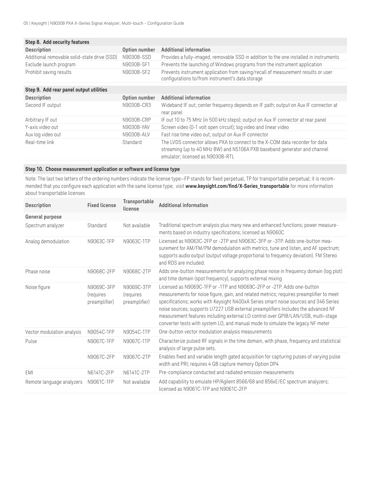| Option number | Additional information                                                                                                                                                                        |
|---------------|-----------------------------------------------------------------------------------------------------------------------------------------------------------------------------------------------|
| N9030B-SSD    | Provides a fully-imaged, removable SSD in addition to the one installed in instruments                                                                                                        |
| N9030B-SF1    | Prevents the launching of Windows programs from the instrument application                                                                                                                    |
| N9030B-SF2    | Prevents instrument application from saving/recall of measurement results or user<br>configurations to/from instrument's data storage                                                         |
|               |                                                                                                                                                                                               |
| Option number | Additional information                                                                                                                                                                        |
| N9030B-CR3    | Wideband IF out; center frequency depends on IF path; output on Aux IF connector at<br>rear panel                                                                                             |
| N9030B-CRP    | IF out 10 to 75 MHz (in 500 kHz steps); output on Aux IF connector at rear panel                                                                                                              |
| N9030B-YAV    | Screen video (0-1 volt open circuit); log video and linear video                                                                                                                              |
| N9030B-ALV    | Fast rise time video out; output on Aux IF connector                                                                                                                                          |
| Standard      | The LVDS connector allows PXA to connect to the X-COM data recorder for data<br>streaming (up to 40 MHz BW) and N5106A PXB baseband generator and channel<br>emulator; licensed as N9030B-RTL |
|               |                                                                                                                                                                                               |

### **Step 10. Choose measurement application or software and license type**

Note: The last two letters of the ordering numbers indicate the license type—FP stands for fixed perpetual, TP for transportable perpetual; it is recommended that you configure each application with the same license type; visit **[www.keysight.com/find/X-Series\\_transportable](http://www.keysight.com/find/X-Series_transportable)** for more information about transportable licenses

| <b>Description</b>         | <b>Fixed license</b>                     | Transportable<br>license                 | <b>Additional information</b>                                                                                                                                                                                                                                                                                                                                                                                                                                                                                          |
|----------------------------|------------------------------------------|------------------------------------------|------------------------------------------------------------------------------------------------------------------------------------------------------------------------------------------------------------------------------------------------------------------------------------------------------------------------------------------------------------------------------------------------------------------------------------------------------------------------------------------------------------------------|
| General purpose            |                                          |                                          |                                                                                                                                                                                                                                                                                                                                                                                                                                                                                                                        |
| Spectrum analyzer          | Standard                                 | Not available                            | Traditional spectrum analysis plus many new and enhanced functions; power measure-<br>ments based on industry specifications; licensed as N9060C                                                                                                                                                                                                                                                                                                                                                                       |
| Analog demodulation        | N9063C-1FP                               | N9063C-1TP                               | Licensed as N9063C-2FP or -2TP and N9063C-3FP or -3TP. Adds one-button mea-<br>surement for AM/FM/PM demodulation with metrics, tune and listen, and AF spectrum;<br>supports audio output (output voltage proportional to frequency deviation). FM Stereo<br>and RDS are included.                                                                                                                                                                                                                                    |
| Phase noise                | N9068C-2FP                               | N9068C-2TP                               | Adds one-button measurements for analyzing phase noise in frequency domain (log plot)<br>and time domain (spot frequency), supports external mixing                                                                                                                                                                                                                                                                                                                                                                    |
| Noise figure               | N9069C-3FP<br>(requires<br>preamplifier) | N9069C-3TP<br>(requires<br>preamplifier) | Licensed as N9069C-1FP or -1TP and N9069C-2FP or -2TP. Adds one-button<br>measurements for noise figure, gain, and related metrics; requires preamplifier to meet<br>specifications; works with Keysight N400xA Series smart noise sources and 346 Series<br>noise sources; supports U7227 USB external preamplifiers Includes the advanced NF<br>measurement features including external LO control over GPIB/LAN/USB, multi-stage<br>converter tests with system LO, and manual mode to simulate the legacy NF meter |
| Vector modulation analysis | N9054C-1FP                               | N9054C-1TP                               | One-button vector modulation analysis measurements                                                                                                                                                                                                                                                                                                                                                                                                                                                                     |
| Pulse                      | N9067C-1FP                               | N9067C-1TP                               | Characterize pulsed RF signals in the time domain, with phase, frequency and statistical<br>analysis of large pulse sets.                                                                                                                                                                                                                                                                                                                                                                                              |
|                            | N9067C-2FP                               | N9067C-2TP                               | Enables fixed and variable length gated acquisition for capturing pulses of varying pulse<br>width and PRI; requires 4 GB capture memory Option DP4                                                                                                                                                                                                                                                                                                                                                                    |
| EMI                        | N6141C-2FP                               | N6141C-2TP                               | Pre-compliance conducted and radiated emission measurements                                                                                                                                                                                                                                                                                                                                                                                                                                                            |
| Remote language analyzers  | N9061C-1FP                               | Not available                            | Add capability to emulate HP/Agilent 8566/68 and 856xE/EC spectrum analyzers;<br>licensed as N9061C-1FP and N9061C-2FP                                                                                                                                                                                                                                                                                                                                                                                                 |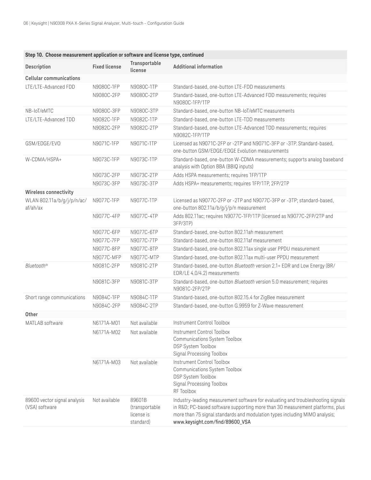| Description                                    | <b>Fixed license</b> | Transportable<br>license                            | <b>Additional information</b>                                                                                                                                                                                                                                                      |
|------------------------------------------------|----------------------|-----------------------------------------------------|------------------------------------------------------------------------------------------------------------------------------------------------------------------------------------------------------------------------------------------------------------------------------------|
| <b>Cellular communications</b>                 |                      |                                                     |                                                                                                                                                                                                                                                                                    |
| LTE/LTE-Advanced FDD                           | N9080C-1FP           | N9080C-1TP                                          | Standard-based, one-button LTE-FDD measurements                                                                                                                                                                                                                                    |
|                                                | N9080C-2FP           | N9080C-2TP                                          | Standard-based, one-button LTE-Advanced FDD measurements; requires<br>N9080C-1FP/1TP                                                                                                                                                                                               |
| NB-IoT/eMTC                                    | N9080C-3FP           | N9080C-3TP                                          | Standard-based, one-button NB-IoT/eMTC measurements                                                                                                                                                                                                                                |
| LTE/LTE-Advanced TDD                           | N9082C-1FP           | N9082C-1TP                                          | Standard-based, one-button LTE-TDD measurements                                                                                                                                                                                                                                    |
|                                                | N9082C-2FP           | N9082C-2TP                                          | Standard-based, one-button LTE-Advanced TDD measurements; requires<br>N9082C-1FP/1TP                                                                                                                                                                                               |
| GSM/EDGE/EVO                                   | N9071C-1FP           | N9071C-1TP                                          | Licensed as N9071C-2FP or -2TP and N9071C-3FP or -3TP. Standard-based,<br>one-button GSM/EDGE/EDGE Evolution measurements                                                                                                                                                          |
| W-CDMA/HSPA+                                   | N9073C-1FP           | N9073C-1TP                                          | Standard-based, one-button W-CDMA measurements; supports analog baseband<br>analysis with Option BBA (BBIQ inputs)                                                                                                                                                                 |
|                                                | N9073C-2FP           | N9073C-2TP                                          | Adds HSPA measurements; requires 1FP/1TP                                                                                                                                                                                                                                           |
|                                                | N9073C-3FP           | N9073C-3TP                                          | Adds HSPA+ measurements; requires 1FP/1TP, 2FP/2TP                                                                                                                                                                                                                                 |
| <b>Wireless connectivity</b>                   |                      |                                                     |                                                                                                                                                                                                                                                                                    |
| WLAN 802.11a/b/g/j/p/n/ac/<br>af/ah/ax         | N9077C-1FP           | N9077C-1TP                                          | Licensed as N9077C-2FP or -2TP and N9077C-3FP or -3TP; standard-based,<br>one-button 802.11a/b/g/j/p/n measurement                                                                                                                                                                 |
|                                                | N9077C-4FP           | N9077C-4TP                                          | Adds 802.11ac; requires N9077C-1FP/1TP (licensed as N9077C-2FP/2TP and<br>3FP/3TP)                                                                                                                                                                                                 |
|                                                | N9077C-6FP           | N9077C-6TP                                          | Standard-based, one-button 802.11ah measurement                                                                                                                                                                                                                                    |
|                                                | N9077C-7FP           | N9077C-7TP                                          | Standard-based, one-button 802.11af measurement                                                                                                                                                                                                                                    |
|                                                | N9077C-8FP           | N9077C-8TP                                          | Standard-based, one-button 802.11ax single user PPDU measurement                                                                                                                                                                                                                   |
|                                                | N9077C-MFP           | N9077C-MTP                                          | Standard-based, one-button 802.11ax multi-user PPDU measurement                                                                                                                                                                                                                    |
| Bluetooth <sup>®</sup>                         | N9081C-2FP           | N9081C-2TP                                          | Standard-based, one-button Bluetooth version 2.1+ EDR and Low Energy (BR/<br>EDR/LE 4.0/4.2) measurements                                                                                                                                                                          |
|                                                | N9081C-3FP           | N9081C-3TP                                          | Standard-based, one-button Bluetooth version 5.0 measurement; requires<br>N9081C-2FP/2TP                                                                                                                                                                                           |
| Short range communications                     | N9084C-1FP           | N9084C-1TP                                          | Standard-based, one-button 802.15.4 for ZigBee measurement                                                                                                                                                                                                                         |
|                                                | N9084C-2FP           | N9084C-2TP                                          | Standard-based, one-button G.9959 for Z-Wave measurement                                                                                                                                                                                                                           |
| Other                                          |                      |                                                     |                                                                                                                                                                                                                                                                                    |
| MATLAB software                                | N6171A-M01           | Not available                                       | Instrument Control Toolbox                                                                                                                                                                                                                                                         |
|                                                | N6171A-M02           | Not available                                       | Instrument Control Toolbox<br>Communications System Toolbox<br>DSP System Toolbox<br>Signal Processing Toolbox                                                                                                                                                                     |
|                                                | N6171A-M03           | Not available                                       | Instrument Control Toolbox<br>Communications System Toolbox<br>DSP System Toolbox<br>Signal Processing Toolbox<br>RF Toolbox                                                                                                                                                       |
| 89600 vector signal analysis<br>(VSA) software | Not available        | 89601B<br>(transportable<br>license is<br>standard) | Industry-leading measurement software for evaluating and troubleshooting signals<br>in R&D PC-based software supporting more than 30 measurement platforms, plus<br>more than 75 signal standards and modulation types including MIMO analysis;<br>www.keysight.com/find/89600_VSA |

# **Step 10. Choose measurement application or software and license type, continued**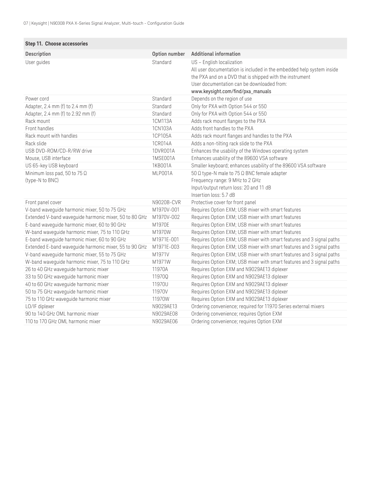| Step 11. Choose accessories                            |               |                                                                                                                                                                                                                                                   |
|--------------------------------------------------------|---------------|---------------------------------------------------------------------------------------------------------------------------------------------------------------------------------------------------------------------------------------------------|
| Description                                            | Option number | <b>Additional information</b>                                                                                                                                                                                                                     |
| User guides                                            | Standard      | US - English localization<br>All user documentation is included in the embedded help system inside<br>the PXA and on a DVD that is shipped with the instrument<br>User documentation can be downloaded from:<br>www.keysight.com/find/pxa_manuals |
| Power cord                                             | Standard      | Depends on the region of use                                                                                                                                                                                                                      |
| Adapter, 2.4 mm (f) to 2.4 mm (f)                      | Standard      | Only for PXA with Option 544 or 550                                                                                                                                                                                                               |
| Adapter, 2.4 mm (f) to 2.92 mm (f)                     | Standard      | Only for PXA with Option 544 or 550                                                                                                                                                                                                               |
| Rack mount                                             | 1CM113A       | Adds rack mount flanges to the PXA                                                                                                                                                                                                                |
| Front handles                                          | 1CN103A       | Adds front handles to the PXA                                                                                                                                                                                                                     |
| Rack mount with handles                                | 1CP105A       | Adds rack mount flanges and handles to the PXA                                                                                                                                                                                                    |
| Rack slide                                             | 1CR014A       | Adds a non-tilting rack slide to the PXA                                                                                                                                                                                                          |
| USB DVD-ROM/CD-R/RW drive                              | 1DVR001A      | Enhances the usability of the Windows operating system                                                                                                                                                                                            |
| Mouse, USB interface                                   | 1MSE001A      | Enhances usability of the 89600 VSA software                                                                                                                                                                                                      |
| US 65-key USB keyboard                                 | 1KB001A       | Smaller keyboard; enhances usability of the 89600 VSA software                                                                                                                                                                                    |
| Minimum loss pad, 50 to 75 $\Omega$<br>(type-N to BNC) | MLP001A       | 50 $\Omega$ type-N male to 75 $\Omega$ BNC female adapter<br>Frequency range: 9 MHz to 2 GHz<br>Input/output return loss: 20 and 11 dB<br>Insertion loss: 5.7 dB                                                                                  |
| Front panel cover                                      | N9020B-CVR    | Protective cover for front panel                                                                                                                                                                                                                  |
| V-band waveguide harmonic mixer, 50 to 75 GHz          | M1970V-001    | Requires Option EXM; USB mixer with smart features                                                                                                                                                                                                |
| Extended V-band waveguide harmonic mixer, 50 to 80 GHz | M1970V-002    | Requires Option EXM; USB mixer with smart features                                                                                                                                                                                                |
| E-band waveguide harmonic mixer, 60 to 90 GHz          | M1970E        | Requires Option EXM; USB mixer with smart features                                                                                                                                                                                                |
| W-band waveguide harmonic mixer, 75 to 110 GHz         | M1970W        | Requires Option EXM; USB mixer with smart features                                                                                                                                                                                                |
| E-band waveguide harmonic mixer, 60 to 90 GHz          | M1971E-001    | Requires Option EXM; USB mixer with smart features and 3 signal paths                                                                                                                                                                             |
| Extended E-band waveguide harmonic mixer, 55 to 90 GHz | M1971E-003    | Requires Option EXM; USB mixer with smart features and 3 signal paths                                                                                                                                                                             |
| V-band waveguide harmonic mixer, 55 to 75 GHz          | M1971V        | Requires Option EXM; USB mixer with smart features and 3 signal paths                                                                                                                                                                             |
| W-band waveguide harmonic mixer, 75 to 110 GHz         | M1971W        | Requires Option EXM; USB mixer with smart features and 3 signal paths                                                                                                                                                                             |
| 26 to 40 GHz waveguide harmonic mixer                  | 11970A        | Requires Option EXM and N9029AE13 diplexer                                                                                                                                                                                                        |
| 33 to 50 GHz waveguide harmonic mixer                  | 11970Q        | Requires Option EXM and N9029AE13 diplexer                                                                                                                                                                                                        |
| 40 to 60 GHz waveguide harmonic mixer                  | 11970U        | Requires Option EXM and N9029AE13 diplexer                                                                                                                                                                                                        |
| 50 to 75 GHz waveguide harmonic mixer                  | 11970V        | Requires Option EXM and N9029AE13 diplexer                                                                                                                                                                                                        |
| 75 to 110 GHz waveguide harmonic mixer                 | 11970W        | Requires Option EXM and N9029AE13 diplexer                                                                                                                                                                                                        |
| LO/IF diplexer                                         | N9029AE13     | Ordering convenience; required for 11970 Series external mixers                                                                                                                                                                                   |
| 90 to 140 GHz OML harmonic mixer                       | N9029AE08     | Ordering convenience; requires Option EXM                                                                                                                                                                                                         |
| 110 to 170 GHz OML harmonic mixer                      | N9029AE06     | Ordering convenience; requires Option EXM                                                                                                                                                                                                         |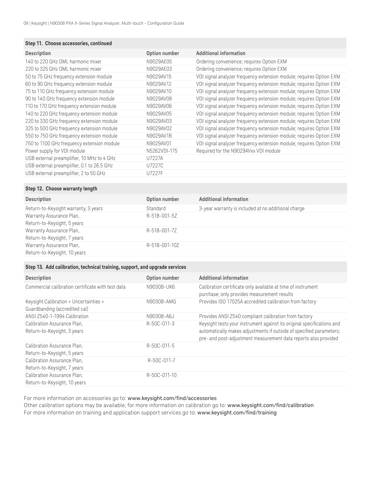### **Step 11. Choose accessories, continued**

| <b>Description</b>                         | Option number | Additional information                                              |
|--------------------------------------------|---------------|---------------------------------------------------------------------|
|                                            |               |                                                                     |
| 140 to 220 GHz OML harmonic mixer          | N9029AE05     | Ordering convenience; requires Option EXM                           |
| 220 to 325 GHz OML harmonic mixer          | N9029AE03     | Ordering convenience; requires Option EXM                           |
| 50 to 75 GHz frequency extension module    | N9029AV15     | VDI signal analyzer frequency extension module; requires Option EXM |
| 60 to 90 GHz frequency extension module    | N9029AV12     | VDI signal analyzer frequency extension module; requires Option EXM |
| 75 to 110 GHz frequency extension module   | N9029AV10     | VDI signal analyzer frequency extension module; requires Option EXM |
| 90 to 140 GHz frequency extension module   | N9029AV08     | VDI signal analyzer frequency extension module; requires Option EXM |
| 110 to 170 GHz frequency extension module  | N9029AV06     | VDI signal analyzer frequency extension module; requires Option EXM |
| 140 to 220 GHz frequency extension module  | N9029AV05     | VDI signal analyzer frequency extension module; requires Option EXM |
| 220 to 330 GHz frequency extension module  | N9029AV03     | VDI signal analyzer frequency extension module; requires Option EXM |
| 325 to 500 GHz frequency extension module  | N9029AV02     | VDI signal analyzer frequency extension module; requires Option EXM |
| 550 to 750 GHz frequency extension module  | N9029AV1B     | VDI signal analyzer frequency extension module; requires Option EXM |
| 750 to 1100 GHz frequency extension module | N9029AV01     | VDI signal analyzer frequency extension module; requires Option EXM |
| Power supply for VDI module                | N5262VDI-175  | Required for the N9029AVxx VDI module                               |
| USB external preamplifier, 10 MHz to 4 GHz | U7227A        |                                                                     |
| USB external preamplifier, 0.1 to 26.5 GHz | U7227C        |                                                                     |
| USB external preamplifier, 2 to 50 GHz     | U7227F        |                                                                     |
|                                            |               |                                                                     |

### **Step 12. Choose warranty length**

| Description                          | Option number | <b>Additional information</b>                       |
|--------------------------------------|---------------|-----------------------------------------------------|
| Return-to-Keysight warranty, 3 years | Standard      | 3-year warranty is included at no additional charge |
| Warranty Assurance Plan,             | R-51B-001-5Z  |                                                     |
| Return-to-Keysight, 5 years          |               |                                                     |
| Warranty Assurance Plan,             | R-51B-001-7Z  |                                                     |
| Return-to-Keysight, 7 years          |               |                                                     |
| Warranty Assurance Plan,             | R-51B-001-10Z |                                                     |
| Return-to-Keysight, 10 years         |               |                                                     |

### **Step 13. Add calibration, technical training, support, and upgrade services**

| <b>Description</b>                                                      | Option number | <b>Additional information</b>                                                                                                                                                                                    |
|-------------------------------------------------------------------------|---------------|------------------------------------------------------------------------------------------------------------------------------------------------------------------------------------------------------------------|
| Commercial calibration certificate with test data                       | N9030B-UK6    | Calibration certificate only available at time of instrument<br>purchase; only provides measurement results                                                                                                      |
| Keysight Calibration + Uncertainties +<br>Guardbanding (accredited cal) | N9030B-AMG    | Provides ISO 17025A accredited calibration from factory                                                                                                                                                          |
| ANSI Z540-1-1994 Calibration                                            | N9030B-A6J    | Provides ANSI Z540 compliant calibration from factory                                                                                                                                                            |
| Calibration Assurance Plan,<br>Return-to-Keysight, 3 years              | R-50C-011-3   | Keysight tests your instrument against its original specifications and<br>automatically makes adjustments if outside of specified parameters;<br>pre- and post-adjustment measurement data reports also provided |
| Calibration Assurance Plan,<br>Return-to-Keysight, 5 years              | R-50C-011-5   |                                                                                                                                                                                                                  |
| Calibration Assurance Plan,<br>Return-to-Keysight, 7 years              | R-50C-011-7   |                                                                                                                                                                                                                  |
| Calibration Assurance Plan,<br>Return-to-Keysight, 10 years             | R-50C-011-10  |                                                                                                                                                                                                                  |

For more information on accessories go to: <www.keysight.com/find/accessories>

Other calibration options may be available; for more information on calibration go to: [www.keysight.com/find/calibration](http://www.keysight.com/find/calibration ) For more information on training and application support services go to: [www.keysight.com/find/training](http://www.keysight.com/find/training)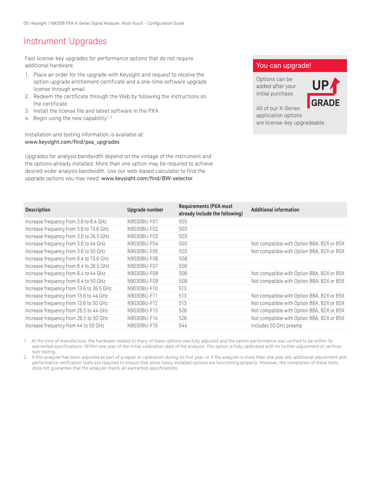# Instrument Upgrades

Fast license-key upgrades for performance options that do not require additional hardware:

- 1. Place an order for the upgrade with Keysight and request to receive the option upgrade entitlement certificate and a one-time software upgrade license through email
- 2. Redeem the certificate through the Web by following the instructions on the certificate
- 3. Install the license file and latest software in the PXA
- 4. Begin using the new capability<sup>1, 2</sup>

Installation and testing information is available at: [www.keysight.com/find/pxa\\_upgrades](www.keysight.com/find/pxa_upgrades)

Upgrades for analysis bandwidth depend on the vintage of the instrument and the options already installed. More than one option may be required to achieve desired wider analysis bandwidth. Use our web-based calculator to find the upgrade options you may need: <www.keysight.com/find/BW-selector>

# You can upgrade!

Options can be added after your initial purchase.



All of our X-Series application options are license-key upgradeable.

| <b>Description</b>                       | Upgrade number | <b>Requirements (PXA must</b><br>already include the following) | <b>Additional information</b>              |
|------------------------------------------|----------------|-----------------------------------------------------------------|--------------------------------------------|
| Increase frequency from 3.6 to 8.4 GHz   | N9030BU-F01    | 503                                                             |                                            |
| Increase frequency from 3.6 to 13.6 GHz  | N9030BU-F02    | 503                                                             |                                            |
| Increase frequency from 3.6 to 26.5 GHz  | N9030BU-F03    | 503                                                             |                                            |
| Increase frequency from 3.6 to 44 GHz    | N9030BU-F04    | 503                                                             | Not compatible with Option BBA, B2X or B5X |
| Increase frequency from 3.6 to 50 GHz    | N9030BU-F05    | 503                                                             | Not compatible with Option BBA, B2X or B5X |
| Increase frequency from 8.4 to 13.6 GHz  | N9030BU-F06    | 508                                                             |                                            |
| Increase frequency from 8.4 to 26.5 GHz  | N9030BU-F07    | 508                                                             |                                            |
| Increase frequency from 8.4 to 44 GHz    | N9030BU-F08    | 508                                                             | Not compatible with Option BBA, B2X or B5X |
| Increase frequency from 8.4 to 50 GHz    | N9030BU-F09    | 508                                                             | Not compatible with Option BBA, B2X or B5X |
| Increase frequency from 13.6 to 26.5 GHz | N9030BU-F10    | 513                                                             |                                            |
| Increase frequency from 13.6 to 44 GHz   | N9030BU-F11    | 513                                                             | Not compatible with Option BBA, B2X or B5X |
| Increase frequency from 13.6 to 50 GHz   | N9030BU-F12    | 513                                                             | Not compatible with Option BBA, B2X or B5X |
| Increase frequency from 26.5 to 44 GHz   | N9030BU-F13    | 526                                                             | Not compatible with Option BBA, B2X or B5X |
| Increase frequency from 26.5 to 50 GHz   | N9030BU-F14    | 526                                                             | Not compatible with Option BBA, B2X or B5X |
| Increase frequency from 44 to 50 GHz     | N9030BU-F15    | 544                                                             | Includes 50 GHz preamp                     |

1. At the time of manufacture, the hardware related to many of these options was fully adjusted and the option performance was verified to be within its warranted specifications. Within one year of the initial calibration date of the analyzer, this option is fully calibrated with no further adjustment or verification testing.

2. If this analyzer has been adjusted as part of a repair or calibration during its first year, or if the analyzer is more than one year old, additional adjustment and performance verification tests are required to ensure that some newly installed options are functioning properly. However, the completion of these tests does not guarantee that the analyzer meets all warranted specifications.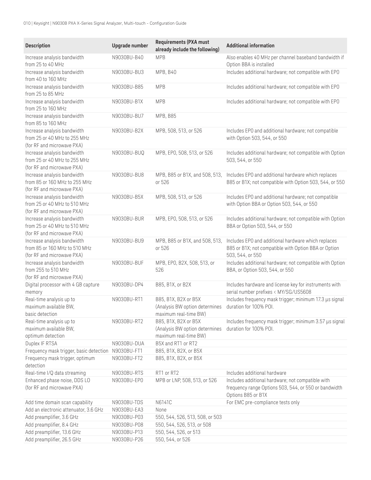| <b>Description</b>                                                                         | <b>Upgrade number</b> | <b>Requirements (PXA must</b><br>already include the following)                 | <b>Additional information</b>                                                                                                    |
|--------------------------------------------------------------------------------------------|-----------------------|---------------------------------------------------------------------------------|----------------------------------------------------------------------------------------------------------------------------------|
| Increase analysis bandwidth<br>from 25 to 40 MHz                                           | N9030BU-B40           | <b>MPB</b>                                                                      | Also enables 40 MHz per channel baseband bandwidth if<br>Option BBA is installed                                                 |
| Increase analysis bandwidth<br>from 40 to 160 MHz                                          | N9030BU-BU3           | MPB, B40                                                                        | Includes additional hardware; not compatible with EPO                                                                            |
| Increase analysis bandwidth<br>from 25 to 85 MHz                                           | N9030BU-B85           | <b>MPB</b>                                                                      | Includes additional hardware; not compatible with EPO                                                                            |
| Increase analysis bandwidth<br>from 25 to 160 MHz                                          | N9030BU-B1X           | <b>MPB</b>                                                                      | Includes additional hardware; not compatible with EPO                                                                            |
| Increase analysis bandwidth<br>from 85 to 160 MHz                                          | N9030BU-BU7           | <b>MPB, B85</b>                                                                 |                                                                                                                                  |
| Increase analysis bandwidth<br>from 25 or 40 MHz to 255 MHz<br>(for RF and microwave PXA)  | N9030BU-B2X           | MPB, 508, 513, or 526                                                           | Includes EPO and additional hardware; not compatible<br>with Option 503, 544, or 550                                             |
| Increase analysis bandwidth<br>from 25 or 40 MHz to 255 MHz<br>(for RF and microwave PXA)  | N9030BU-BUQ           | MPB, EP0, 508, 513, or 526                                                      | Includes additional hardware; not compatible with Option<br>503, 544, or 550                                                     |
| Increase analysis bandwidth<br>from 85 or 160 MHz to 255 MHz<br>(for RF and microwave PXA) | N9030BU-BU8           | MPB, B85 or B1X, and 508, 513,<br>or 526                                        | Includes EPO and additional hardware which replaces<br>B85 or B1X; not compatible with Option 503, 544, or 550                   |
| Increase analysis bandwidth<br>from 25 or 40 MHz to 510 MHz<br>(for RF and microwave PXA)  | N9030BU-B5X           | MPB, 508, 513, or 526                                                           | Includes EPO and additional hardware; not compatible<br>with Option BBA or Option 503, 544, or 550                               |
| Increase analysis bandwidth<br>from 25 or 40 MHz to 510 MHz<br>(for RF and microwave PXA)  | N9030BU-BUR           | MPB, EP0, 508, 513, or 526                                                      | Includes additional hardware; not compatible with Option<br>BBA or Option 503, 544, or 550                                       |
| Increase analysis bandwidth<br>from 85 or 160 MHz to 510 MHz<br>(for RF and microwave PXA) | N9030BU-BU9           | MPB, B85 or B1X, and 508, 513,<br>or 526                                        | Includes EPO and additional hardware which replaces<br>B85 or B1X; not compatible with Option BBA or Option<br>503, 544, or 550  |
| Increase analysis bandwidth<br>from 255 to 510 MHz<br>(for RF and microwave PXA)           | N9030BU-BUF           | MPB, EP0, B2X, 508, 513, or<br>526                                              | Includes additional hardware; not compatible with Option<br>BBA, or Option 503, 544, or 550                                      |
| Digital processor with 4 GB capture<br>memory                                              | N9030BU-DP4           | B85, B1X, or B2X                                                                | Includes hardware and license key for instruments with<br>serial number prefixes < MY/SG/US5608                                  |
| Real-time analysis up to<br>maximum available BW,<br>basic detection                       | N9030BU-RT1           | B85, B1X, B2X or B5X<br>(Analysis BW option determines<br>maximum real-time BW) | Includes frequency mask trigger; minimum 17.3 µs signal<br>duration for 100% POI.                                                |
| Real-time analysis up to<br>maximum available BW,<br>optimum detection                     | N9030BU-RT2           | B85, B1X, B2X or B5X<br>(Analysis BW option determines<br>maximum real-time BW) | Includes frequency mask trigger; minimum 3.57 µs signal<br>duration for 100% POI.                                                |
| Duplex IF RTSA                                                                             | N9030BU-DUA           | B5X and RT1 or RT2                                                              |                                                                                                                                  |
| Frequency mask trigger, basic detection                                                    | N9030BU-FT1           | B85, B1X, B2X, or B5X                                                           |                                                                                                                                  |
| Frequency mask trigger, optimum<br>detection                                               | N9030BU-FT2           | B85, B1X, B2X, or B5X                                                           |                                                                                                                                  |
| Real-time I/Q data streaming                                                               | N9030BU-RTS           | RT1 or RT2                                                                      | Includes additional hardware                                                                                                     |
| Enhanced phase noise, DDS LO<br>(for RF and microwave PXA)                                 | N9030BU-EP0           | MPB or LNP, 508, 513, or 526                                                    | Includes additional hardware; not compatible with<br>frequency range Options 503, 544, or 550 or bandwidth<br>Options B85 or B1X |
| Add time domain scan capability                                                            | N9030BU-TDS           | N6141C                                                                          | For EMC pre-compliance tests only                                                                                                |
| Add an electronic attenuator, 3.6 GHz                                                      | N9030BU-EA3           | None                                                                            |                                                                                                                                  |
| Add preamplifier, 3.6 GHz                                                                  | N9030BU-P03           | 550, 544, 526, 513, 508, or 503                                                 |                                                                                                                                  |
| Add preamplifier, 8.4 GHz                                                                  | N9030BU-P08           | 550, 544, 526, 513, or 508                                                      |                                                                                                                                  |
| Add preamplifier, 13.6 GHz                                                                 | N9030BU-P13           | 550, 544, 526, or 513                                                           |                                                                                                                                  |
| Add preamplifier, 26.5 GHz                                                                 | N9030BU-P26           | 550, 544, or 526                                                                |                                                                                                                                  |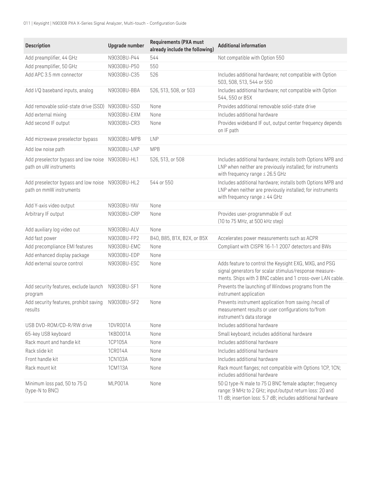| <b>Description</b>                                                          | <b>Upgrade number</b> | <b>Requirements (PXA must</b><br>already include the following) | <b>Additional information</b>                                                                                                                                                                  |
|-----------------------------------------------------------------------------|-----------------------|-----------------------------------------------------------------|------------------------------------------------------------------------------------------------------------------------------------------------------------------------------------------------|
| Add preamplifier, 44 GHz                                                    | N9030BU-P44           | 544                                                             | Not compatible with Option 550                                                                                                                                                                 |
| Add preamplifier, 50 GHz                                                    | N9030BU-P50           | 550                                                             |                                                                                                                                                                                                |
| Add APC 3.5 mm connector                                                    | N9030BU-C35           | 526                                                             | Includes additional hardware; not compatible with Option<br>503, 508, 513, 544 or 550                                                                                                          |
| Add I/Q baseband inputs, analog                                             | N9030BU-BBA           | 526, 513, 508, or 503                                           | Includes additional hardware; not compatible with Option<br>544, 550 or B5X                                                                                                                    |
| Add removable solid-state drive (SSD) N9030BU-SSD                           |                       | None                                                            | Provides additional removable solid-state drive                                                                                                                                                |
| Add external mixing                                                         | N9030BU-EXM           | None                                                            | Includes additional hardware                                                                                                                                                                   |
| Add second IF output                                                        | N9030BU-CR3           | None                                                            | Provides wideband IF out, output center frequency depends<br>on IF path                                                                                                                        |
| Add microwave preselector bypass                                            | N9030BU-MPB           | <b>LNP</b>                                                      |                                                                                                                                                                                                |
| Add low noise path                                                          | N9030BU-LNP           | <b>MPB</b>                                                      |                                                                                                                                                                                                |
| Add preselector bypass and low noise<br>path on uW instruments              | N9030BU-HL1           | 526, 513, or 508                                                | Includes additional hardware; installs both Options MPB and<br>LNP when neither are previously installed; for instruments<br>with frequency range $\leq 26.5$ GHz                              |
| Add preselector bypass and low noise N9030BU-HL2<br>path on mmW instruments |                       | 544 or 550                                                      | Includes additional hardware; installs both Options MPB and<br>LNP when neither are previously installed; for instruments<br>with frequency range $\geq 44$ GHz                                |
| Add Y-axis video output                                                     | N9030BU-YAV           | None                                                            |                                                                                                                                                                                                |
| Arbitrary IF output                                                         | N9030BU-CRP           | None                                                            | Provides user-programmable IF out<br>(10 to 75 MHz, at 500 kHz step)                                                                                                                           |
| Add auxiliary log video out                                                 | N9030BU-ALV           | None                                                            |                                                                                                                                                                                                |
| Add fast power                                                              | N9030BU-FP2           | B40, B85, B1X, B2X, or B5X                                      | Accelerates power measurements such as ACPR                                                                                                                                                    |
| Add precompliance EMI features                                              | N9030BU-EMC           | None                                                            | Compliant with CISPR 16-1-1 2007 detectors and BWs                                                                                                                                             |
| Add enhanced display package                                                | N9030BU-EDP           | None                                                            |                                                                                                                                                                                                |
| Add external source control                                                 | N9030BU-ESC           | None                                                            | Adds feature to control the Keysight EXG, MXG, and PSG<br>signal generators for scalar stimulus/response measure-<br>ments. Ships with 3 BNC cables and 1 cross-over LAN cable.                |
| Add security features, exclude launch<br>program                            | N9030BU-SF1           | None                                                            | Prevents the launching of Windows programs from the<br>instrument application                                                                                                                  |
| Add security features, prohibit saving<br>results                           | N9030BU-SF2           | None                                                            | Prevents instrument application from saving /recall of<br>measurement results or user configurations to/from<br>instrument's data storage                                                      |
| USB DVD-ROM/CD-R/RW drive                                                   | 1DVR001A              | None                                                            | Includes additional hardware                                                                                                                                                                   |
| 65-key USB keyboard                                                         | 1KBD001A              | None                                                            | Small keyboard; includes additional hardware                                                                                                                                                   |
| Rack mount and handle kit                                                   | 1CP105A               | None                                                            | Includes additional hardware                                                                                                                                                                   |
| Rack slide kit                                                              | 1CR014A               | None                                                            | Includes additional hardware                                                                                                                                                                   |
| Front handle kit                                                            | 1CN103A               | None                                                            | Includes additional hardware                                                                                                                                                                   |
| Rack mount kit                                                              | 1CM113A               | None                                                            | Rack mount flanges; not compatible with Options 1CP, 1CN;<br>includes additional hardware                                                                                                      |
| Minimum loss pad, 50 to 75 $\Omega$<br>(type-N to BNC)                      | MLP001A               | None                                                            | 50 $\Omega$ type-N male to 75 $\Omega$ BNC female adapter; frequency<br>range: 9 MHz to 2 GHz; input/output return loss: 20 and<br>11 dB; insertion loss: 5.7 dB; includes additional hardware |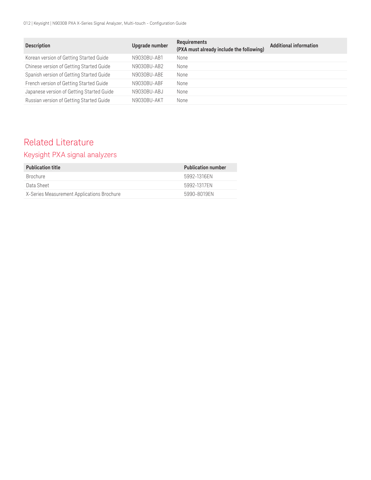012 | Keysight | N9030B PXA X-Series Signal Analyzer, Multi-touch - Configuration Guide

| <b>Description</b>                        | Upgrade number | Requirements<br>(PXA must already include the following) | <b>Additional information</b> |
|-------------------------------------------|----------------|----------------------------------------------------------|-------------------------------|
| Korean version of Getting Started Guide   | N9030BU-AB1    | None                                                     |                               |
| Chinese version of Getting Started Guide  | N9030BU-AB2    | None                                                     |                               |
| Spanish version of Getting Started Guide  | N9030BU-ABE    | None                                                     |                               |
| French version of Getting Started Guide   | N9030BU-ABF    | None                                                     |                               |
| Japanese version of Getting Started Guide | N9030BU-ABJ    | None                                                     |                               |
| Russian version of Getting Started Guide  | N9030BU-AKT    | None                                                     |                               |

# Related Literature

# Keysight PXA signal analyzers

| <b>Publication title</b>                   | <b>Publication number</b> |
|--------------------------------------------|---------------------------|
| <b>Brochure</b>                            | 5992-1316FN               |
| Data Sheet                                 | 5992-1317FN               |
| X-Series Measurement Applications Brochure | 5990-8019FN               |